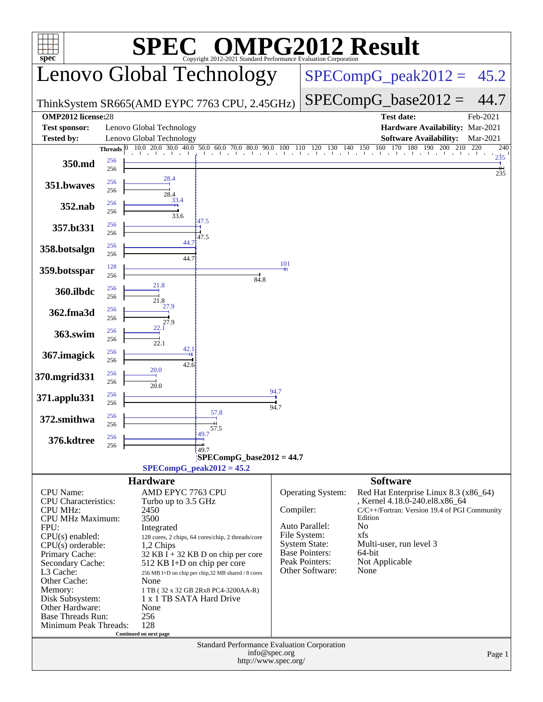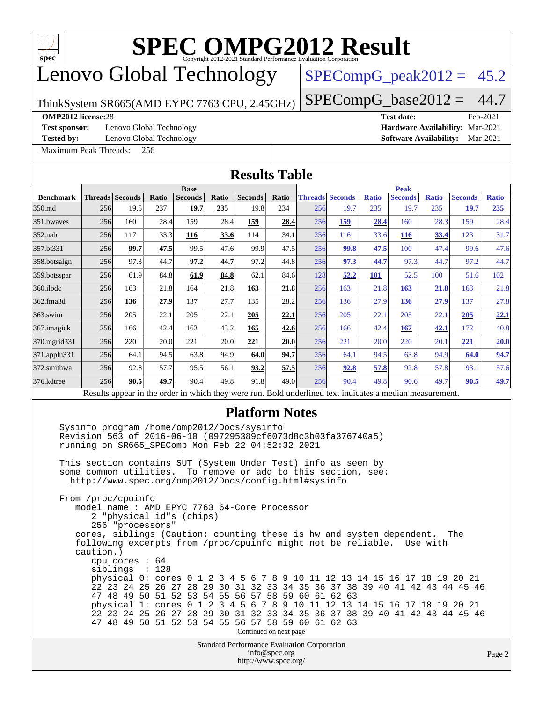

## Lenovo Global Technology

## $SPECompG_peak2012 = 45.2$  $SPECompG_peak2012 = 45.2$

ThinkSystem SR665(AMD EYPC 7763 CPU, 2.45GHz)

 $SPECompG_base2012 = 44.7$  $SPECompG_base2012 = 44.7$ 

### **[OMP2012 license:](http://www.spec.org/auto/omp2012/Docs/result-fields.html#OMP2012license)**28 **[Test date:](http://www.spec.org/auto/omp2012/Docs/result-fields.html#Testdate)** Feb-2021

**[Test sponsor:](http://www.spec.org/auto/omp2012/Docs/result-fields.html#Testsponsor)** Lenovo Global Technology **[Hardware Availability:](http://www.spec.org/auto/omp2012/Docs/result-fields.html#HardwareAvailability)** Mar-2021

**[Tested by:](http://www.spec.org/auto/omp2012/Docs/result-fields.html#Testedby)** Lenovo Global Technology **[Software Availability:](http://www.spec.org/auto/omp2012/Docs/result-fields.html#SoftwareAvailability)** Mar-2021

[Maximum Peak Threads:](http://www.spec.org/auto/omp2012/Docs/result-fields.html#MaximumPeakThreads) 256

**[Results Table](http://www.spec.org/auto/omp2012/Docs/result-fields.html#ResultsTable)**

|                                                                                                                                                                                                                                                                                                                                                                                                                                                                                                                                                                                                                                                                                                                                                                                                                                                                                                                                                                                                                                                                                                                                                     |                 |      |       |             |       | RUDUIW TUDIC                                       |                        |             |                                                                                                          |              |                |              |                |              |
|-----------------------------------------------------------------------------------------------------------------------------------------------------------------------------------------------------------------------------------------------------------------------------------------------------------------------------------------------------------------------------------------------------------------------------------------------------------------------------------------------------------------------------------------------------------------------------------------------------------------------------------------------------------------------------------------------------------------------------------------------------------------------------------------------------------------------------------------------------------------------------------------------------------------------------------------------------------------------------------------------------------------------------------------------------------------------------------------------------------------------------------------------------|-----------------|------|-------|-------------|-------|----------------------------------------------------|------------------------|-------------|----------------------------------------------------------------------------------------------------------|--------------|----------------|--------------|----------------|--------------|
|                                                                                                                                                                                                                                                                                                                                                                                                                                                                                                                                                                                                                                                                                                                                                                                                                                                                                                                                                                                                                                                                                                                                                     |                 |      |       | <b>Base</b> |       |                                                    |                        | <b>Peak</b> |                                                                                                          |              |                |              |                |              |
| <b>Benchmark</b>                                                                                                                                                                                                                                                                                                                                                                                                                                                                                                                                                                                                                                                                                                                                                                                                                                                                                                                                                                                                                                                                                                                                    | Threads Seconds |      | Ratio | Seconds     | Ratio | Seconds                                            | Ratio                  |             | <b>Threads Seconds</b>                                                                                   | <b>Ratio</b> | <b>Seconds</b> | <b>Ratio</b> | <b>Seconds</b> | <b>Ratio</b> |
| 350.md                                                                                                                                                                                                                                                                                                                                                                                                                                                                                                                                                                                                                                                                                                                                                                                                                                                                                                                                                                                                                                                                                                                                              | 256             | 19.5 | 237   | 19.7        | 235   | 19.8                                               | 234                    | 256         | 19.7                                                                                                     | 235          | 19.7           | 235          | 19.7           | 235          |
| 351.bwaves                                                                                                                                                                                                                                                                                                                                                                                                                                                                                                                                                                                                                                                                                                                                                                                                                                                                                                                                                                                                                                                                                                                                          | 256             | 160  | 28.4  | 159         | 28.4  | 159                                                | 28.4                   | 256         | <b>159</b>                                                                                               | 28.4         | 160            | 28.3         | 159            | 28.4         |
| $352$ .nab                                                                                                                                                                                                                                                                                                                                                                                                                                                                                                                                                                                                                                                                                                                                                                                                                                                                                                                                                                                                                                                                                                                                          | 256             | 117  | 33.3  | 116         | 33.6  | 114                                                | 34.1                   | 256         | 116                                                                                                      | 33.6         | <b>116</b>     | 33.4         | 123            | 31.7         |
| 357.bt331                                                                                                                                                                                                                                                                                                                                                                                                                                                                                                                                                                                                                                                                                                                                                                                                                                                                                                                                                                                                                                                                                                                                           | 256             | 99.7 | 47.5  | 99.5        | 47.6  | 99.9                                               | 47.5                   | 256         | 99.8                                                                                                     | 47.5         | 100            | 47.4         | 99.6           | 47.6         |
| 358.botsalgn                                                                                                                                                                                                                                                                                                                                                                                                                                                                                                                                                                                                                                                                                                                                                                                                                                                                                                                                                                                                                                                                                                                                        | 256             | 97.3 | 44.7  | 97.2        | 44.7  | 97.2                                               | 44.8                   | 256         | 97.3                                                                                                     | 44.7         | 97.3           | 44.7         | 97.2           | 44.7         |
| 359.botsspar                                                                                                                                                                                                                                                                                                                                                                                                                                                                                                                                                                                                                                                                                                                                                                                                                                                                                                                                                                                                                                                                                                                                        | 256             | 61.9 | 84.8  | 61.9        | 84.8  | 62.1                                               | 84.6                   | 128         | 52.2                                                                                                     | 101          | 52.5           | 100          | 51.6           | 102          |
| $360$ .ilbdc                                                                                                                                                                                                                                                                                                                                                                                                                                                                                                                                                                                                                                                                                                                                                                                                                                                                                                                                                                                                                                                                                                                                        | 256             | 163  | 21.8  | 164         | 21.8  | 163                                                | 21.8                   | 256         | 163                                                                                                      | 21.8         | 163            | <b>21.8</b>  | 163            | 21.8         |
| 362.fma3d                                                                                                                                                                                                                                                                                                                                                                                                                                                                                                                                                                                                                                                                                                                                                                                                                                                                                                                                                                                                                                                                                                                                           | 256             | 136  | 27.9  | 137         | 27.7  | 135                                                | 28.2                   | 256         | 136                                                                                                      | 27.9         | <u>136</u>     | 27.9         | 137            | 27.8         |
| $363$ .swim                                                                                                                                                                                                                                                                                                                                                                                                                                                                                                                                                                                                                                                                                                                                                                                                                                                                                                                                                                                                                                                                                                                                         | 256             | 205  | 22.1  | 205         | 22.1  | 205                                                | 22.1                   | 256         | 205                                                                                                      | 22.1         | 205            | 22.1         | 205            | 22.1         |
| 367.imagick                                                                                                                                                                                                                                                                                                                                                                                                                                                                                                                                                                                                                                                                                                                                                                                                                                                                                                                                                                                                                                                                                                                                         | 256             | 166  | 42.4  | 163         | 43.2  | 165                                                | 42.6                   | 256         | 166                                                                                                      | 42.4         | 167            | 42.1         | 172            | 40.8         |
| 370.mgrid331                                                                                                                                                                                                                                                                                                                                                                                                                                                                                                                                                                                                                                                                                                                                                                                                                                                                                                                                                                                                                                                                                                                                        | 256             | 220  | 20.0  | 221         | 20.0  | 221                                                | <b>20.0</b>            | 256         | 221                                                                                                      | 20.0         | 220            | 20.1         | 221            | 20.0         |
| 371.applu331                                                                                                                                                                                                                                                                                                                                                                                                                                                                                                                                                                                                                                                                                                                                                                                                                                                                                                                                                                                                                                                                                                                                        | 256             | 64.1 | 94.5  | 63.8        | 94.9  | 64.0                                               | 94.7                   | 256         | 64.1                                                                                                     | 94.5         | 63.8           | 94.9         | 64.0           | 94.7         |
| 372.smithwa                                                                                                                                                                                                                                                                                                                                                                                                                                                                                                                                                                                                                                                                                                                                                                                                                                                                                                                                                                                                                                                                                                                                         | 256             | 92.8 | 57.7  | 95.5        | 56.1  | 93.2                                               | 57.5                   | 256         | 92.8                                                                                                     | 57.8         | 92.8           | 57.8         | 93.1           | 57.6         |
| 376.kdtree                                                                                                                                                                                                                                                                                                                                                                                                                                                                                                                                                                                                                                                                                                                                                                                                                                                                                                                                                                                                                                                                                                                                          | 256             | 90.5 | 49.7  | 90.4        | 49.8  | 91.8                                               | 49.0                   | 256         | 90.4                                                                                                     | 49.8         | 90.6           | 49.7         | 90.5           | 49.7         |
|                                                                                                                                                                                                                                                                                                                                                                                                                                                                                                                                                                                                                                                                                                                                                                                                                                                                                                                                                                                                                                                                                                                                                     |                 |      |       |             |       |                                                    |                        |             | Results appear in the order in which they were run. Bold underlined text indicates a median measurement. |              |                |              |                |              |
| Sysinfo program /home/omp2012/Docs/sysinfo<br>Revision 563 of 2016-06-10 (097295389cf6073d8c3b03fa376740a5)<br>running on SR665_SPEComp Mon Feb 22 04:52:32 2021<br>This section contains SUT (System Under Test) info as seen by<br>some common utilities.<br>To remove or add to this section, see:<br>http://www.spec.org/omp2012/Docs/config.html#sysinfo<br>From /proc/cpuinfo<br>model name : AMD EPYC 7763 64-Core Processor<br>2 "physical id"s (chips)<br>256 "processors"<br>cores, siblings (Caution: counting these is hw and system dependent.<br>The<br>following excerpts from /proc/cpuinfo might not be reliable. Use with<br>caution.)<br>cpu cores $: 64$<br>siblings : 128<br>physical 0: cores 0 1<br>$\overline{c}$<br>3 4 5 6 7 8 9 10 11 12 13 14 15 16 17 18 19 20 21<br>22 23 24 25 26 27 28 29 30 31 32 33 34 35 36 37 38 39 40 41 42 43 44 45 46<br>47 48 49 50 51 52 53 54 55 56 57 58 59 60 61 62 63<br>physical 1: cores 0 1 2 3 4 5 6 7 8 9 10 11 12 13 14 15 16 17 18 19 20 21<br>22 23 24 25 26 27 28 29 30 31 32 33 34 35 36 37 38 39 40 41 42 43 44 45 46<br>47 48 49 50 51 52 53 54 55 56 57 58 59 60 61 62 63 |                 |      |       |             |       |                                                    |                        |             |                                                                                                          |              |                |              |                |              |
|                                                                                                                                                                                                                                                                                                                                                                                                                                                                                                                                                                                                                                                                                                                                                                                                                                                                                                                                                                                                                                                                                                                                                     |                 |      |       |             |       | <b>Standard Performance Evaluation Corporation</b> | Continued on next page |             |                                                                                                          |              |                |              |                |              |
|                                                                                                                                                                                                                                                                                                                                                                                                                                                                                                                                                                                                                                                                                                                                                                                                                                                                                                                                                                                                                                                                                                                                                     |                 |      |       |             |       |                                                    | info@spec.org          |             |                                                                                                          |              |                |              |                | Page 2       |

<http://www.spec.org/>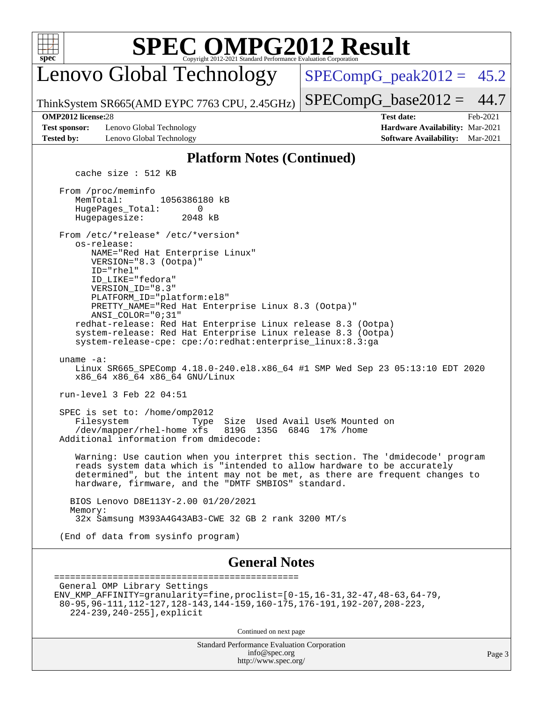

Lenovo Global Technology

 $SPECompG_peak2012 = 45.2$  $SPECompG_peak2012 = 45.2$ 

ThinkSystem SR665(AMD EYPC 7763 CPU, 2.45GHz)

 $SPECompG_base2012 = 44.7$  $SPECompG_base2012 = 44.7$ **[OMP2012 license:](http://www.spec.org/auto/omp2012/Docs/result-fields.html#OMP2012license)**28 **[Test date:](http://www.spec.org/auto/omp2012/Docs/result-fields.html#Testdate)** Feb-2021

**[Test sponsor:](http://www.spec.org/auto/omp2012/Docs/result-fields.html#Testsponsor)** Lenovo Global Technology **[Hardware Availability:](http://www.spec.org/auto/omp2012/Docs/result-fields.html#HardwareAvailability)** Mar-2021 **[Tested by:](http://www.spec.org/auto/omp2012/Docs/result-fields.html#Testedby)** Lenovo Global Technology **[Software Availability:](http://www.spec.org/auto/omp2012/Docs/result-fields.html#SoftwareAvailability)** Mar-2021

## **[Platform Notes \(Continued\)](http://www.spec.org/auto/omp2012/Docs/result-fields.html#PlatformNotes)**

cache size : 512 KB

 From /proc/meminfo MemTotal: 1056386180 kB<br>HugePages Total: 0 HugePages\_Total: 0<br>Hugepagesize: 2048 kB Hugepagesize: From /etc/\*release\* /etc/\*version\* os-release:

 NAME="Red Hat Enterprise Linux" VERSION="8.3 (Ootpa)" ID="rhel" ID\_LIKE="fedora"

 VERSION\_ID="8.3" PLATFORM\_ID="platform:el8" PRETTY\_NAME="Red Hat Enterprise Linux 8.3 (Ootpa)" ANSI\_COLOR="0;31" redhat-release: Red Hat Enterprise Linux release 8.3 (Ootpa) system-release: Red Hat Enterprise Linux release 8.3 (Ootpa) system-release-cpe: cpe:/o:redhat:enterprise\_linux:8.3:ga

### uname -a:

 Linux SR665\_SPEComp 4.18.0-240.el8.x86\_64 #1 SMP Wed Sep 23 05:13:10 EDT 2020 x86\_64 x86\_64 x86\_64 GNU/Linux

run-level 3 Feb 22 04:51

SPEC is set to: /home/omp2012<br>Filesystem Type Type Size Used Avail Use% Mounted on /dev/mapper/rhel-home xfs 819G 135G 684G 17% /home Additional information from dmidecode:

 Warning: Use caution when you interpret this section. The 'dmidecode' program reads system data which is "intended to allow hardware to be accurately determined", but the intent may not be met, as there are frequent changes to hardware, firmware, and the "DMTF SMBIOS" standard.

 BIOS Lenovo D8E113Y-2.00 01/20/2021 Memory: 32x Samsung M393A4G43AB3-CWE 32 GB 2 rank 3200 MT/s

(End of data from sysinfo program)

### **[General Notes](http://www.spec.org/auto/omp2012/Docs/result-fields.html#GeneralNotes)**

```
==============================================
General OMP Library Settings
ENV_KMP_AFFINITY=granularity=fine,proclist=[0-15,16-31,32-47,48-63,64-79,
 80-95,96-111,112-127,128-143,144-159,160-175,176-191,192-207,208-223,
    224-239,240-255],explicit
```
Continued on next page

Standard Performance Evaluation Corporation [info@spec.org](mailto:info@spec.org) <http://www.spec.org/>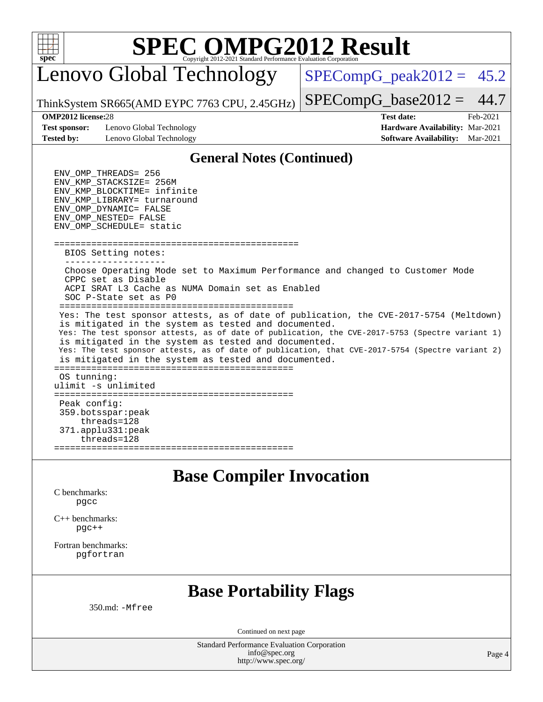

Lenovo Global Technology

 $SPECompG_peak2012 = 45.2$  $SPECompG_peak2012 = 45.2$ 

 $SPECompG_base2012 = 44.7$  $SPECompG_base2012 = 44.7$ 

ThinkSystem SR665(AMD EYPC 7763 CPU, 2.45GHz)

**[Test sponsor:](http://www.spec.org/auto/omp2012/Docs/result-fields.html#Testsponsor)** Lenovo Global Technology **[Hardware Availability:](http://www.spec.org/auto/omp2012/Docs/result-fields.html#HardwareAvailability)** Mar-2021 **[Tested by:](http://www.spec.org/auto/omp2012/Docs/result-fields.html#Testedby)** Lenovo Global Technology **[Software Availability:](http://www.spec.org/auto/omp2012/Docs/result-fields.html#SoftwareAvailability)** Mar-2021

**[OMP2012 license:](http://www.spec.org/auto/omp2012/Docs/result-fields.html#OMP2012license)**28 **[Test date:](http://www.spec.org/auto/omp2012/Docs/result-fields.html#Testdate)** Feb-2021

### **[General Notes \(Continued\)](http://www.spec.org/auto/omp2012/Docs/result-fields.html#GeneralNotes)**

 ENV\_OMP\_THREADS = 256 ENV\_KMP\_STACKSIZE = 256M ENV\_KMP\_BLOCKTIME = infinite ENV\_KMP\_LIBRARY = turnaround  $END\_OMP\_DYNAMIC$  =  $FALSE$  ENV\_OMP\_NESTED = FALSE ENV\_OMP\_SCHEDULE = static ============================================== BIOS Setting notes: ------------------- Choose Operating Mode set to Maximum Performance and changed to Customer Mode CPPC set as Disable ACPI SRAT L3 Cache as NUMA Domain set as Enabled SOC P-State set as P0 ============================================ Yes: The test sponsor attests, as of date of publication, the CVE-2017-5754 (Meltdown) is mitigated in the system as tested and documented. Yes: The test sponsor attests, as of date of publication, the CVE-2017-5753 (Spectre variant 1) is mitigated in the system as tested and documented. Yes: The test sponsor attests, as of date of publication, that CVE-2017-5754 (Spectre variant 2) is mitigated in the system as tested and documented. ============================================= OS tunning: ulimit -s unlimited ============================================= Peak config: 359.botsspar:peak threads=128 371.applu331:peak threads=128 =============================================

**[Base Compiler Invocation](http://www.spec.org/auto/omp2012/Docs/result-fields.html#BaseCompilerInvocation)**

[C benchmarks](http://www.spec.org/auto/omp2012/Docs/result-fields.html#Cbenchmarks): [pgcc](http://www.spec.org/omp2012/results/res2021q1/omp2012-20210223-00195.flags.html#user_CCbase_pgcc_fcce2a96867ea3998f4ff21c79d3857c)

[C++ benchmarks:](http://www.spec.org/auto/omp2012/Docs/result-fields.html#CXXbenchmarks) [pgc++](http://www.spec.org/omp2012/results/res2021q1/omp2012-20210223-00195.flags.html#user_CXXbase_pgcpp_e5fc4a0ead554906661557a60ef932e8)

[Fortran benchmarks](http://www.spec.org/auto/omp2012/Docs/result-fields.html#Fortranbenchmarks): [pgfortran](http://www.spec.org/omp2012/results/res2021q1/omp2012-20210223-00195.flags.html#user_FCbase_pgfortran_08741e282245326e7aab55a06555a99d)

## **[Base Portability Flags](http://www.spec.org/auto/omp2012/Docs/result-fields.html#BasePortabilityFlags)**

350.md: [-Mfree](http://www.spec.org/omp2012/results/res2021q1/omp2012-20210223-00195.flags.html#user_baseFPORTABILITY350_md_f-Mfree)

Continued on next page

Standard Performance Evaluation Corporation [info@spec.org](mailto:info@spec.org) <http://www.spec.org/>

Page 4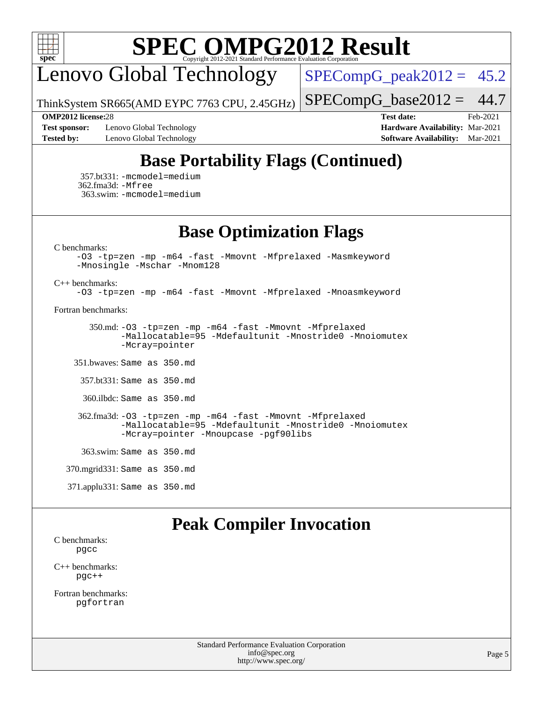

Lenovo Global Technology

 $SPECompG_peak2012 = 45.2$  $SPECompG_peak2012 = 45.2$ 

ThinkSystem SR665(AMD EYPC 7763 CPU, 2.45GHz)  $SPECompG_base2012 = 44.7$  $SPECompG_base2012 = 44.7$ 

**[Test sponsor:](http://www.spec.org/auto/omp2012/Docs/result-fields.html#Testsponsor)** Lenovo Global Technology **[Hardware Availability:](http://www.spec.org/auto/omp2012/Docs/result-fields.html#HardwareAvailability)** Mar-2021 **[Tested by:](http://www.spec.org/auto/omp2012/Docs/result-fields.html#Testedby)** Lenovo Global Technology **[Software Availability:](http://www.spec.org/auto/omp2012/Docs/result-fields.html#SoftwareAvailability)** Mar-2021

**[OMP2012 license:](http://www.spec.org/auto/omp2012/Docs/result-fields.html#OMP2012license)**28 **[Test date:](http://www.spec.org/auto/omp2012/Docs/result-fields.html#Testdate)** Feb-2021

## **[Base Portability Flags \(Continued\)](http://www.spec.org/auto/omp2012/Docs/result-fields.html#BasePortabilityFlags)**

 357.bt331: [-mcmodel=medium](http://www.spec.org/omp2012/results/res2021q1/omp2012-20210223-00195.flags.html#user_baseFPORTABILITY357_bt331_f-mcmodel_3a41622424bdd074c4f0f2d2f224c7e5) 362.fma3d: [-Mfree](http://www.spec.org/omp2012/results/res2021q1/omp2012-20210223-00195.flags.html#user_baseFPORTABILITY362_fma3d_f-Mfree) 363.swim: [-mcmodel=medium](http://www.spec.org/omp2012/results/res2021q1/omp2012-20210223-00195.flags.html#user_baseFPORTABILITY363_swim_f-mcmodel_3a41622424bdd074c4f0f2d2f224c7e5)

**[Base Optimization Flags](http://www.spec.org/auto/omp2012/Docs/result-fields.html#BaseOptimizationFlags)**

[C benchmarks](http://www.spec.org/auto/omp2012/Docs/result-fields.html#Cbenchmarks):

[-O3](http://www.spec.org/omp2012/results/res2021q1/omp2012-20210223-00195.flags.html#user_CCbase_f-O3) [-tp=zen](http://www.spec.org/omp2012/results/res2021q1/omp2012-20210223-00195.flags.html#user_CCbase_f-tp_8786d3749ba9a48cf9c0402180524408) [-mp](http://www.spec.org/omp2012/results/res2021q1/omp2012-20210223-00195.flags.html#user_CCbase_f-mp) [-m64](http://www.spec.org/omp2012/results/res2021q1/omp2012-20210223-00195.flags.html#user_CCbase_f-m64) [-fast](http://www.spec.org/omp2012/results/res2021q1/omp2012-20210223-00195.flags.html#user_CCbase_f-fast) [-Mmovnt](http://www.spec.org/omp2012/results/res2021q1/omp2012-20210223-00195.flags.html#user_CCbase_f-Mmovnt) [-Mfprelaxed](http://www.spec.org/omp2012/results/res2021q1/omp2012-20210223-00195.flags.html#user_CCbase_f-Mfprelaxed) [-Masmkeyword](http://www.spec.org/omp2012/results/res2021q1/omp2012-20210223-00195.flags.html#user_CCbase_f-Masmkeyword) [-Mnosingle](http://www.spec.org/omp2012/results/res2021q1/omp2012-20210223-00195.flags.html#user_CCbase_f-Mnosingle) [-Mschar](http://www.spec.org/omp2012/results/res2021q1/omp2012-20210223-00195.flags.html#user_CCbase_f-Mschar) [-Mnom128](http://www.spec.org/omp2012/results/res2021q1/omp2012-20210223-00195.flags.html#user_CCbase_f-Mnom128)

[C++ benchmarks:](http://www.spec.org/auto/omp2012/Docs/result-fields.html#CXXbenchmarks)

[-O3](http://www.spec.org/omp2012/results/res2021q1/omp2012-20210223-00195.flags.html#user_CXXbase_f-O3) [-tp=zen](http://www.spec.org/omp2012/results/res2021q1/omp2012-20210223-00195.flags.html#user_CXXbase_f-tp_8786d3749ba9a48cf9c0402180524408) [-mp](http://www.spec.org/omp2012/results/res2021q1/omp2012-20210223-00195.flags.html#user_CXXbase_f-mp) [-m64](http://www.spec.org/omp2012/results/res2021q1/omp2012-20210223-00195.flags.html#user_CXXbase_f-m64) [-fast](http://www.spec.org/omp2012/results/res2021q1/omp2012-20210223-00195.flags.html#user_CXXbase_f-fast) [-Mmovnt](http://www.spec.org/omp2012/results/res2021q1/omp2012-20210223-00195.flags.html#user_CXXbase_f-Mmovnt) [-Mfprelaxed](http://www.spec.org/omp2012/results/res2021q1/omp2012-20210223-00195.flags.html#user_CXXbase_f-Mfprelaxed) [-Mnoasmkeyword](http://www.spec.org/omp2012/results/res2021q1/omp2012-20210223-00195.flags.html#user_CXXbase_f-Mnoasmkeyword)

[Fortran benchmarks](http://www.spec.org/auto/omp2012/Docs/result-fields.html#Fortranbenchmarks):

 350.md: [-O3](http://www.spec.org/omp2012/results/res2021q1/omp2012-20210223-00195.flags.html#user_baseFOPTIMIZEOPTIMIZE350_md_f-O3) [-tp=zen](http://www.spec.org/omp2012/results/res2021q1/omp2012-20210223-00195.flags.html#user_baseFOPTIMIZEOPTIMIZE350_md_f-tp_8786d3749ba9a48cf9c0402180524408) [-mp](http://www.spec.org/omp2012/results/res2021q1/omp2012-20210223-00195.flags.html#user_baseFOPTIMIZEOPTIMIZE350_md_f-mp) [-m64](http://www.spec.org/omp2012/results/res2021q1/omp2012-20210223-00195.flags.html#user_baseFOPTIMIZEOPTIMIZE350_md_f-m64) [-fast](http://www.spec.org/omp2012/results/res2021q1/omp2012-20210223-00195.flags.html#user_baseFOPTIMIZEOPTIMIZE350_md_f-fast) [-Mmovnt](http://www.spec.org/omp2012/results/res2021q1/omp2012-20210223-00195.flags.html#user_baseFOPTIMIZEOPTIMIZE350_md_f-Mmovnt) [-Mfprelaxed](http://www.spec.org/omp2012/results/res2021q1/omp2012-20210223-00195.flags.html#user_baseFOPTIMIZEOPTIMIZE350_md_f-Mfprelaxed) [-Mallocatable=95](http://www.spec.org/omp2012/results/res2021q1/omp2012-20210223-00195.flags.html#user_baseFOPTIMIZE350_md_f-Mallocatable_0e4b63fd184c0ce9e00f669f4d8e4cd5) [-Mdefaultunit](http://www.spec.org/omp2012/results/res2021q1/omp2012-20210223-00195.flags.html#user_baseFOPTIMIZE350_md_f-Mdefaultunit) [-Mnostride0](http://www.spec.org/omp2012/results/res2021q1/omp2012-20210223-00195.flags.html#user_baseFOPTIMIZE350_md_f-Mnostride0) [-Mnoiomutex](http://www.spec.org/omp2012/results/res2021q1/omp2012-20210223-00195.flags.html#user_baseFOPTIMIZE350_md_f-Mnoiomutex) [-Mcray=pointer](http://www.spec.org/omp2012/results/res2021q1/omp2012-20210223-00195.flags.html#user_baseFOPTIMIZE350_md_f-Mcray_a641f5fc777f82482c928186ba3bf694)

351.bwaves: Same as 350.md

357.bt331: Same as 350.md

360.ilbdc: Same as 350.md

 362.fma3d: [-O3](http://www.spec.org/omp2012/results/res2021q1/omp2012-20210223-00195.flags.html#user_baseFOPTIMIZEOPTIMIZE362_fma3d_f-O3) [-tp=zen](http://www.spec.org/omp2012/results/res2021q1/omp2012-20210223-00195.flags.html#user_baseFOPTIMIZEOPTIMIZE362_fma3d_f-tp_8786d3749ba9a48cf9c0402180524408) [-mp](http://www.spec.org/omp2012/results/res2021q1/omp2012-20210223-00195.flags.html#user_baseFOPTIMIZEOPTIMIZE362_fma3d_f-mp) [-m64](http://www.spec.org/omp2012/results/res2021q1/omp2012-20210223-00195.flags.html#user_baseFOPTIMIZEOPTIMIZE362_fma3d_f-m64) [-fast](http://www.spec.org/omp2012/results/res2021q1/omp2012-20210223-00195.flags.html#user_baseFOPTIMIZEOPTIMIZE362_fma3d_f-fast) [-Mmovnt](http://www.spec.org/omp2012/results/res2021q1/omp2012-20210223-00195.flags.html#user_baseFOPTIMIZEOPTIMIZE362_fma3d_f-Mmovnt) [-Mfprelaxed](http://www.spec.org/omp2012/results/res2021q1/omp2012-20210223-00195.flags.html#user_baseFOPTIMIZEOPTIMIZE362_fma3d_f-Mfprelaxed) [-Mallocatable=95](http://www.spec.org/omp2012/results/res2021q1/omp2012-20210223-00195.flags.html#user_baseFOPTIMIZE362_fma3d_f-Mallocatable_0e4b63fd184c0ce9e00f669f4d8e4cd5) [-Mdefaultunit](http://www.spec.org/omp2012/results/res2021q1/omp2012-20210223-00195.flags.html#user_baseFOPTIMIZE362_fma3d_f-Mdefaultunit) [-Mnostride0](http://www.spec.org/omp2012/results/res2021q1/omp2012-20210223-00195.flags.html#user_baseFOPTIMIZE362_fma3d_f-Mnostride0) [-Mnoiomutex](http://www.spec.org/omp2012/results/res2021q1/omp2012-20210223-00195.flags.html#user_baseFOPTIMIZE362_fma3d_f-Mnoiomutex) [-Mcray=pointer](http://www.spec.org/omp2012/results/res2021q1/omp2012-20210223-00195.flags.html#user_baseFOPTIMIZE362_fma3d_f-Mcray_a641f5fc777f82482c928186ba3bf694) [-Mnoupcase](http://www.spec.org/omp2012/results/res2021q1/omp2012-20210223-00195.flags.html#user_baseFOPTIMIZE362_fma3d_f-Mnoupcase) [-pgf90libs](http://www.spec.org/omp2012/results/res2021q1/omp2012-20210223-00195.flags.html#user_baseFOPTIMIZE362_fma3d_f-pgf90libs)

363.swim: Same as 350.md

370.mgrid331: Same as 350.md

371.applu331: Same as 350.md

## **[Peak Compiler Invocation](http://www.spec.org/auto/omp2012/Docs/result-fields.html#PeakCompilerInvocation)**

[C benchmarks](http://www.spec.org/auto/omp2012/Docs/result-fields.html#Cbenchmarks): [pgcc](http://www.spec.org/omp2012/results/res2021q1/omp2012-20210223-00195.flags.html#user_CCpeak_pgcc_fcce2a96867ea3998f4ff21c79d3857c)

[C++ benchmarks:](http://www.spec.org/auto/omp2012/Docs/result-fields.html#CXXbenchmarks) [pgc++](http://www.spec.org/omp2012/results/res2021q1/omp2012-20210223-00195.flags.html#user_CXXpeak_pgcpp_e5fc4a0ead554906661557a60ef932e8)

[Fortran benchmarks](http://www.spec.org/auto/omp2012/Docs/result-fields.html#Fortranbenchmarks): [pgfortran](http://www.spec.org/omp2012/results/res2021q1/omp2012-20210223-00195.flags.html#user_FCpeak_pgfortran_08741e282245326e7aab55a06555a99d)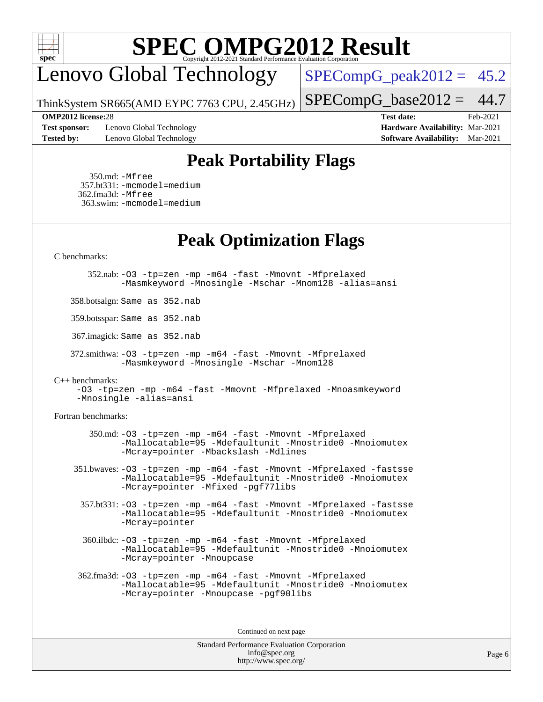

Lenovo Global Technology

 $SPECompG_peak2012 = 45.2$  $SPECompG_peak2012 = 45.2$ 

 $SPECompG_base2012 = 44.7$  $SPECompG_base2012 = 44.7$ 

ThinkSystem SR665(AMD EYPC 7763 CPU, 2.45GHz)

**[Test sponsor:](http://www.spec.org/auto/omp2012/Docs/result-fields.html#Testsponsor)** Lenovo Global Technology **[Hardware Availability:](http://www.spec.org/auto/omp2012/Docs/result-fields.html#HardwareAvailability)** Mar-2021 **[Tested by:](http://www.spec.org/auto/omp2012/Docs/result-fields.html#Testedby)** Lenovo Global Technology **[Software Availability:](http://www.spec.org/auto/omp2012/Docs/result-fields.html#SoftwareAvailability)** Mar-2021

**[OMP2012 license:](http://www.spec.org/auto/omp2012/Docs/result-fields.html#OMP2012license)**28 **[Test date:](http://www.spec.org/auto/omp2012/Docs/result-fields.html#Testdate)** Feb-2021

## **[Peak Portability Flags](http://www.spec.org/auto/omp2012/Docs/result-fields.html#PeakPortabilityFlags)**

 350.md: [-Mfree](http://www.spec.org/omp2012/results/res2021q1/omp2012-20210223-00195.flags.html#user_peakFPORTABILITY350_md_f-Mfree) 357.bt331: [-mcmodel=medium](http://www.spec.org/omp2012/results/res2021q1/omp2012-20210223-00195.flags.html#user_peakFPORTABILITY357_bt331_f-mcmodel_3a41622424bdd074c4f0f2d2f224c7e5) 362.fma3d: [-Mfree](http://www.spec.org/omp2012/results/res2021q1/omp2012-20210223-00195.flags.html#user_peakFPORTABILITY362_fma3d_f-Mfree) 363.swim: [-mcmodel=medium](http://www.spec.org/omp2012/results/res2021q1/omp2012-20210223-00195.flags.html#user_peakFPORTABILITY363_swim_f-mcmodel_3a41622424bdd074c4f0f2d2f224c7e5)

**[Peak Optimization Flags](http://www.spec.org/auto/omp2012/Docs/result-fields.html#PeakOptimizationFlags)**

### [C benchmarks](http://www.spec.org/auto/omp2012/Docs/result-fields.html#Cbenchmarks):

 352.nab: [-O3](http://www.spec.org/omp2012/results/res2021q1/omp2012-20210223-00195.flags.html#user_peakCOPTIMIZEOPTIMIZE352_nab_f-O3) [-tp=zen](http://www.spec.org/omp2012/results/res2021q1/omp2012-20210223-00195.flags.html#user_peakCOPTIMIZEOPTIMIZE352_nab_f-tp_8786d3749ba9a48cf9c0402180524408) [-mp](http://www.spec.org/omp2012/results/res2021q1/omp2012-20210223-00195.flags.html#user_peakCOPTIMIZEOPTIMIZE352_nab_f-mp) [-m64](http://www.spec.org/omp2012/results/res2021q1/omp2012-20210223-00195.flags.html#user_peakCOPTIMIZEOPTIMIZE352_nab_f-m64) [-fast](http://www.spec.org/omp2012/results/res2021q1/omp2012-20210223-00195.flags.html#user_peakCOPTIMIZEOPTIMIZE352_nab_f-fast) [-Mmovnt](http://www.spec.org/omp2012/results/res2021q1/omp2012-20210223-00195.flags.html#user_peakCOPTIMIZEOPTIMIZE352_nab_f-Mmovnt) [-Mfprelaxed](http://www.spec.org/omp2012/results/res2021q1/omp2012-20210223-00195.flags.html#user_peakCOPTIMIZEOPTIMIZE352_nab_f-Mfprelaxed) [-Masmkeyword](http://www.spec.org/omp2012/results/res2021q1/omp2012-20210223-00195.flags.html#user_peakCOPTIMIZE352_nab_f-Masmkeyword) [-Mnosingle](http://www.spec.org/omp2012/results/res2021q1/omp2012-20210223-00195.flags.html#user_peakCOPTIMIZE352_nab_f-Mnosingle) [-Mschar](http://www.spec.org/omp2012/results/res2021q1/omp2012-20210223-00195.flags.html#user_peakCOPTIMIZE352_nab_f-Mschar) [-Mnom128](http://www.spec.org/omp2012/results/res2021q1/omp2012-20210223-00195.flags.html#user_peakCOPTIMIZE352_nab_f-Mnom128) [-alias=ansi](http://www.spec.org/omp2012/results/res2021q1/omp2012-20210223-00195.flags.html#user_peakCOPTIMIZE352_nab_f-alias_1180cc3139632da0ed6e6fcb63bb116e)

358.botsalgn: Same as 352.nab

359.botsspar: Same as 352.nab

367.imagick: Same as 352.nab

 372.smithwa: [-O3](http://www.spec.org/omp2012/results/res2021q1/omp2012-20210223-00195.flags.html#user_peakCOPTIMIZEOPTIMIZE372_smithwa_f-O3) [-tp=zen](http://www.spec.org/omp2012/results/res2021q1/omp2012-20210223-00195.flags.html#user_peakCOPTIMIZEOPTIMIZE372_smithwa_f-tp_8786d3749ba9a48cf9c0402180524408) [-mp](http://www.spec.org/omp2012/results/res2021q1/omp2012-20210223-00195.flags.html#user_peakCOPTIMIZEOPTIMIZE372_smithwa_f-mp) [-m64](http://www.spec.org/omp2012/results/res2021q1/omp2012-20210223-00195.flags.html#user_peakCOPTIMIZEOPTIMIZE372_smithwa_f-m64) [-fast](http://www.spec.org/omp2012/results/res2021q1/omp2012-20210223-00195.flags.html#user_peakCOPTIMIZEOPTIMIZE372_smithwa_f-fast) [-Mmovnt](http://www.spec.org/omp2012/results/res2021q1/omp2012-20210223-00195.flags.html#user_peakCOPTIMIZEOPTIMIZE372_smithwa_f-Mmovnt) [-Mfprelaxed](http://www.spec.org/omp2012/results/res2021q1/omp2012-20210223-00195.flags.html#user_peakCOPTIMIZEOPTIMIZE372_smithwa_f-Mfprelaxed) [-Masmkeyword](http://www.spec.org/omp2012/results/res2021q1/omp2012-20210223-00195.flags.html#user_peakCOPTIMIZE372_smithwa_f-Masmkeyword) [-Mnosingle](http://www.spec.org/omp2012/results/res2021q1/omp2012-20210223-00195.flags.html#user_peakCOPTIMIZE372_smithwa_f-Mnosingle) [-Mschar](http://www.spec.org/omp2012/results/res2021q1/omp2012-20210223-00195.flags.html#user_peakCOPTIMIZE372_smithwa_f-Mschar) [-Mnom128](http://www.spec.org/omp2012/results/res2021q1/omp2012-20210223-00195.flags.html#user_peakCOPTIMIZE372_smithwa_f-Mnom128)

### [C++ benchmarks:](http://www.spec.org/auto/omp2012/Docs/result-fields.html#CXXbenchmarks)

[-O3](http://www.spec.org/omp2012/results/res2021q1/omp2012-20210223-00195.flags.html#user_CXXpeak_f-O3) [-tp=zen](http://www.spec.org/omp2012/results/res2021q1/omp2012-20210223-00195.flags.html#user_CXXpeak_f-tp_8786d3749ba9a48cf9c0402180524408) [-mp](http://www.spec.org/omp2012/results/res2021q1/omp2012-20210223-00195.flags.html#user_CXXpeak_f-mp) [-m64](http://www.spec.org/omp2012/results/res2021q1/omp2012-20210223-00195.flags.html#user_CXXpeak_f-m64) [-fast](http://www.spec.org/omp2012/results/res2021q1/omp2012-20210223-00195.flags.html#user_CXXpeak_f-fast) [-Mmovnt](http://www.spec.org/omp2012/results/res2021q1/omp2012-20210223-00195.flags.html#user_CXXpeak_f-Mmovnt) [-Mfprelaxed](http://www.spec.org/omp2012/results/res2021q1/omp2012-20210223-00195.flags.html#user_CXXpeak_f-Mfprelaxed) [-Mnoasmkeyword](http://www.spec.org/omp2012/results/res2021q1/omp2012-20210223-00195.flags.html#user_CXXpeak_f-Mnoasmkeyword) [-Mnosingle](http://www.spec.org/omp2012/results/res2021q1/omp2012-20210223-00195.flags.html#user_CXXpeak_f-Mnosingle) [-alias=ansi](http://www.spec.org/omp2012/results/res2021q1/omp2012-20210223-00195.flags.html#user_CXXpeak_f-alias_1180cc3139632da0ed6e6fcb63bb116e)

### [Fortran benchmarks](http://www.spec.org/auto/omp2012/Docs/result-fields.html#Fortranbenchmarks):

 350.md: [-O3](http://www.spec.org/omp2012/results/res2021q1/omp2012-20210223-00195.flags.html#user_peakFOPTIMIZEOPTIMIZE350_md_f-O3) [-tp=zen](http://www.spec.org/omp2012/results/res2021q1/omp2012-20210223-00195.flags.html#user_peakFOPTIMIZEOPTIMIZE350_md_f-tp_8786d3749ba9a48cf9c0402180524408) [-mp](http://www.spec.org/omp2012/results/res2021q1/omp2012-20210223-00195.flags.html#user_peakFOPTIMIZEOPTIMIZE350_md_f-mp) [-m64](http://www.spec.org/omp2012/results/res2021q1/omp2012-20210223-00195.flags.html#user_peakFOPTIMIZEOPTIMIZE350_md_f-m64) [-fast](http://www.spec.org/omp2012/results/res2021q1/omp2012-20210223-00195.flags.html#user_peakFOPTIMIZEOPTIMIZE350_md_f-fast) [-Mmovnt](http://www.spec.org/omp2012/results/res2021q1/omp2012-20210223-00195.flags.html#user_peakFOPTIMIZEOPTIMIZE350_md_f-Mmovnt) [-Mfprelaxed](http://www.spec.org/omp2012/results/res2021q1/omp2012-20210223-00195.flags.html#user_peakFOPTIMIZEOPTIMIZE350_md_f-Mfprelaxed) [-Mallocatable=95](http://www.spec.org/omp2012/results/res2021q1/omp2012-20210223-00195.flags.html#user_peakFOPTIMIZE350_md_f-Mallocatable_0e4b63fd184c0ce9e00f669f4d8e4cd5) [-Mdefaultunit](http://www.spec.org/omp2012/results/res2021q1/omp2012-20210223-00195.flags.html#user_peakFOPTIMIZE350_md_f-Mdefaultunit) [-Mnostride0](http://www.spec.org/omp2012/results/res2021q1/omp2012-20210223-00195.flags.html#user_peakFOPTIMIZE350_md_f-Mnostride0) [-Mnoiomutex](http://www.spec.org/omp2012/results/res2021q1/omp2012-20210223-00195.flags.html#user_peakFOPTIMIZE350_md_f-Mnoiomutex) [-Mcray=pointer](http://www.spec.org/omp2012/results/res2021q1/omp2012-20210223-00195.flags.html#user_peakFOPTIMIZE350_md_f-Mcray_a641f5fc777f82482c928186ba3bf694) [-Mbackslash](http://www.spec.org/omp2012/results/res2021q1/omp2012-20210223-00195.flags.html#user_peakFOPTIMIZE350_md_f-Mbackslash) [-Mdlines](http://www.spec.org/omp2012/results/res2021q1/omp2012-20210223-00195.flags.html#user_peakFOPTIMIZE350_md_f-Mdlines)

 351.bwaves: [-O3](http://www.spec.org/omp2012/results/res2021q1/omp2012-20210223-00195.flags.html#user_peakFOPTIMIZEOPTIMIZE351_bwaves_f-O3) [-tp=zen](http://www.spec.org/omp2012/results/res2021q1/omp2012-20210223-00195.flags.html#user_peakFOPTIMIZEOPTIMIZE351_bwaves_f-tp_8786d3749ba9a48cf9c0402180524408) [-mp](http://www.spec.org/omp2012/results/res2021q1/omp2012-20210223-00195.flags.html#user_peakFOPTIMIZEOPTIMIZE351_bwaves_f-mp) [-m64](http://www.spec.org/omp2012/results/res2021q1/omp2012-20210223-00195.flags.html#user_peakFOPTIMIZEOPTIMIZE351_bwaves_f-m64) [-fast](http://www.spec.org/omp2012/results/res2021q1/omp2012-20210223-00195.flags.html#user_peakFOPTIMIZEOPTIMIZE351_bwaves_f-fast) [-Mmovnt](http://www.spec.org/omp2012/results/res2021q1/omp2012-20210223-00195.flags.html#user_peakFOPTIMIZEOPTIMIZE351_bwaves_f-Mmovnt) [-Mfprelaxed](http://www.spec.org/omp2012/results/res2021q1/omp2012-20210223-00195.flags.html#user_peakFOPTIMIZEOPTIMIZE351_bwaves_f-Mfprelaxed) [-fastsse](http://www.spec.org/omp2012/results/res2021q1/omp2012-20210223-00195.flags.html#user_peakOPTIMIZE351_bwaves_f-fastsse) [-Mallocatable=95](http://www.spec.org/omp2012/results/res2021q1/omp2012-20210223-00195.flags.html#user_peakFOPTIMIZE351_bwaves_f-Mallocatable_0e4b63fd184c0ce9e00f669f4d8e4cd5) [-Mdefaultunit](http://www.spec.org/omp2012/results/res2021q1/omp2012-20210223-00195.flags.html#user_peakFOPTIMIZE351_bwaves_f-Mdefaultunit) [-Mnostride0](http://www.spec.org/omp2012/results/res2021q1/omp2012-20210223-00195.flags.html#user_peakFOPTIMIZE351_bwaves_f-Mnostride0) [-Mnoiomutex](http://www.spec.org/omp2012/results/res2021q1/omp2012-20210223-00195.flags.html#user_peakFOPTIMIZE351_bwaves_f-Mnoiomutex) [-Mcray=pointer](http://www.spec.org/omp2012/results/res2021q1/omp2012-20210223-00195.flags.html#user_peakFOPTIMIZE351_bwaves_f-Mcray_a641f5fc777f82482c928186ba3bf694) [-Mfixed](http://www.spec.org/omp2012/results/res2021q1/omp2012-20210223-00195.flags.html#user_peakFOPTIMIZE351_bwaves_f-Mfixed) [-pgf77libs](http://www.spec.org/omp2012/results/res2021q1/omp2012-20210223-00195.flags.html#user_peakFOPTIMIZE351_bwaves_f-pgf77libs)

 357.bt331: [-O3](http://www.spec.org/omp2012/results/res2021q1/omp2012-20210223-00195.flags.html#user_peakFOPTIMIZEOPTIMIZE357_bt331_f-O3) [-tp=zen](http://www.spec.org/omp2012/results/res2021q1/omp2012-20210223-00195.flags.html#user_peakFOPTIMIZEOPTIMIZE357_bt331_f-tp_8786d3749ba9a48cf9c0402180524408) [-mp](http://www.spec.org/omp2012/results/res2021q1/omp2012-20210223-00195.flags.html#user_peakFOPTIMIZEOPTIMIZE357_bt331_f-mp) [-m64](http://www.spec.org/omp2012/results/res2021q1/omp2012-20210223-00195.flags.html#user_peakFOPTIMIZEOPTIMIZE357_bt331_f-m64) [-fast](http://www.spec.org/omp2012/results/res2021q1/omp2012-20210223-00195.flags.html#user_peakFOPTIMIZEOPTIMIZE357_bt331_f-fast) [-Mmovnt](http://www.spec.org/omp2012/results/res2021q1/omp2012-20210223-00195.flags.html#user_peakFOPTIMIZEOPTIMIZE357_bt331_f-Mmovnt) [-Mfprelaxed](http://www.spec.org/omp2012/results/res2021q1/omp2012-20210223-00195.flags.html#user_peakFOPTIMIZEOPTIMIZE357_bt331_f-Mfprelaxed) [-fastsse](http://www.spec.org/omp2012/results/res2021q1/omp2012-20210223-00195.flags.html#user_peakOPTIMIZE357_bt331_f-fastsse) [-Mallocatable=95](http://www.spec.org/omp2012/results/res2021q1/omp2012-20210223-00195.flags.html#user_peakFOPTIMIZE357_bt331_f-Mallocatable_0e4b63fd184c0ce9e00f669f4d8e4cd5) [-Mdefaultunit](http://www.spec.org/omp2012/results/res2021q1/omp2012-20210223-00195.flags.html#user_peakFOPTIMIZE357_bt331_f-Mdefaultunit) [-Mnostride0](http://www.spec.org/omp2012/results/res2021q1/omp2012-20210223-00195.flags.html#user_peakFOPTIMIZE357_bt331_f-Mnostride0) [-Mnoiomutex](http://www.spec.org/omp2012/results/res2021q1/omp2012-20210223-00195.flags.html#user_peakFOPTIMIZE357_bt331_f-Mnoiomutex) [-Mcray=pointer](http://www.spec.org/omp2012/results/res2021q1/omp2012-20210223-00195.flags.html#user_peakFOPTIMIZE357_bt331_f-Mcray_a641f5fc777f82482c928186ba3bf694)

 360.ilbdc: [-O3](http://www.spec.org/omp2012/results/res2021q1/omp2012-20210223-00195.flags.html#user_peakFOPTIMIZEOPTIMIZE360_ilbdc_f-O3) [-tp=zen](http://www.spec.org/omp2012/results/res2021q1/omp2012-20210223-00195.flags.html#user_peakFOPTIMIZEOPTIMIZE360_ilbdc_f-tp_8786d3749ba9a48cf9c0402180524408) [-mp](http://www.spec.org/omp2012/results/res2021q1/omp2012-20210223-00195.flags.html#user_peakFOPTIMIZEOPTIMIZE360_ilbdc_f-mp) [-m64](http://www.spec.org/omp2012/results/res2021q1/omp2012-20210223-00195.flags.html#user_peakFOPTIMIZEOPTIMIZE360_ilbdc_f-m64) [-fast](http://www.spec.org/omp2012/results/res2021q1/omp2012-20210223-00195.flags.html#user_peakFOPTIMIZEOPTIMIZE360_ilbdc_f-fast) [-Mmovnt](http://www.spec.org/omp2012/results/res2021q1/omp2012-20210223-00195.flags.html#user_peakFOPTIMIZEOPTIMIZE360_ilbdc_f-Mmovnt) [-Mfprelaxed](http://www.spec.org/omp2012/results/res2021q1/omp2012-20210223-00195.flags.html#user_peakFOPTIMIZEOPTIMIZE360_ilbdc_f-Mfprelaxed) [-Mallocatable=95](http://www.spec.org/omp2012/results/res2021q1/omp2012-20210223-00195.flags.html#user_peakFOPTIMIZEOPTIMIZE360_ilbdc_f-Mallocatable_0e4b63fd184c0ce9e00f669f4d8e4cd5) [-Mdefaultunit](http://www.spec.org/omp2012/results/res2021q1/omp2012-20210223-00195.flags.html#user_peakFOPTIMIZEOPTIMIZE360_ilbdc_f-Mdefaultunit) [-Mnostride0](http://www.spec.org/omp2012/results/res2021q1/omp2012-20210223-00195.flags.html#user_peakFOPTIMIZEOPTIMIZE360_ilbdc_f-Mnostride0) [-Mnoiomutex](http://www.spec.org/omp2012/results/res2021q1/omp2012-20210223-00195.flags.html#user_peakFOPTIMIZEOPTIMIZE360_ilbdc_f-Mnoiomutex) [-Mcray=pointer](http://www.spec.org/omp2012/results/res2021q1/omp2012-20210223-00195.flags.html#user_peakFOPTIMIZEOPTIMIZE360_ilbdc_f-Mcray_a641f5fc777f82482c928186ba3bf694) [-Mnoupcase](http://www.spec.org/omp2012/results/res2021q1/omp2012-20210223-00195.flags.html#user_peakOPTIMIZE360_ilbdc_f-Mnoupcase)

 362.fma3d: [-O3](http://www.spec.org/omp2012/results/res2021q1/omp2012-20210223-00195.flags.html#user_peakFOPTIMIZEOPTIMIZE362_fma3d_f-O3) [-tp=zen](http://www.spec.org/omp2012/results/res2021q1/omp2012-20210223-00195.flags.html#user_peakFOPTIMIZEOPTIMIZE362_fma3d_f-tp_8786d3749ba9a48cf9c0402180524408) [-mp](http://www.spec.org/omp2012/results/res2021q1/omp2012-20210223-00195.flags.html#user_peakFOPTIMIZEOPTIMIZE362_fma3d_f-mp) [-m64](http://www.spec.org/omp2012/results/res2021q1/omp2012-20210223-00195.flags.html#user_peakFOPTIMIZEOPTIMIZE362_fma3d_f-m64) [-fast](http://www.spec.org/omp2012/results/res2021q1/omp2012-20210223-00195.flags.html#user_peakFOPTIMIZEOPTIMIZE362_fma3d_f-fast) [-Mmovnt](http://www.spec.org/omp2012/results/res2021q1/omp2012-20210223-00195.flags.html#user_peakFOPTIMIZEOPTIMIZE362_fma3d_f-Mmovnt) [-Mfprelaxed](http://www.spec.org/omp2012/results/res2021q1/omp2012-20210223-00195.flags.html#user_peakFOPTIMIZEOPTIMIZE362_fma3d_f-Mfprelaxed) [-Mallocatable=95](http://www.spec.org/omp2012/results/res2021q1/omp2012-20210223-00195.flags.html#user_peakFOPTIMIZE362_fma3d_f-Mallocatable_0e4b63fd184c0ce9e00f669f4d8e4cd5) [-Mdefaultunit](http://www.spec.org/omp2012/results/res2021q1/omp2012-20210223-00195.flags.html#user_peakFOPTIMIZE362_fma3d_f-Mdefaultunit) [-Mnostride0](http://www.spec.org/omp2012/results/res2021q1/omp2012-20210223-00195.flags.html#user_peakFOPTIMIZE362_fma3d_f-Mnostride0) [-Mnoiomutex](http://www.spec.org/omp2012/results/res2021q1/omp2012-20210223-00195.flags.html#user_peakFOPTIMIZE362_fma3d_f-Mnoiomutex) [-Mcray=pointer](http://www.spec.org/omp2012/results/res2021q1/omp2012-20210223-00195.flags.html#user_peakFOPTIMIZE362_fma3d_f-Mcray_a641f5fc777f82482c928186ba3bf694) [-Mnoupcase](http://www.spec.org/omp2012/results/res2021q1/omp2012-20210223-00195.flags.html#user_peakFOPTIMIZE362_fma3d_f-Mnoupcase) [-pgf90libs](http://www.spec.org/omp2012/results/res2021q1/omp2012-20210223-00195.flags.html#user_peakFOPTIMIZE362_fma3d_f-pgf90libs)

Continued on next page

Standard Performance Evaluation Corporation [info@spec.org](mailto:info@spec.org) <http://www.spec.org/>